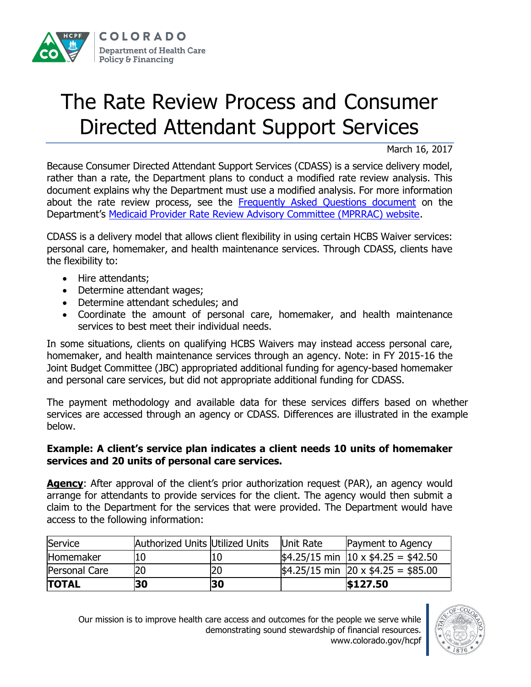

## The Rate Review Process and Consumer Directed Attendant Support Services

March 16, 2017

Because Consumer Directed Attendant Support Services (CDASS) is a service delivery model, rather than a rate, the Department plans to conduct a modified rate review analysis. This document explains why the Department must use a modified analysis. For more information about the rate review process, see the [Frequently Asked Questions document](https://www.colorado.gov/pacific/sites/default/files/Rate%20Review%20Process%20FAQs.pdf) on the Department's [Medicaid Provider Rate Review Advisory Committee \(MPRRAC\) website.](https://www.colorado.gov/pacific/hcpf/medicaid-provider-rate-review-advisory-committee)

CDASS is a delivery model that allows client flexibility in using certain HCBS Waiver services: personal care, homemaker, and health maintenance services. Through CDASS, clients have the flexibility to:

- Hire attendants:
- Determine attendant wages;
- Determine attendant schedules; and
- Coordinate the amount of personal care, homemaker, and health maintenance services to best meet their individual needs.

In some situations, clients on qualifying HCBS Waivers may instead access personal care, homemaker, and health maintenance services through an agency. Note: in FY 2015-16 the Joint Budget Committee (JBC) appropriated additional funding for agency-based homemaker and personal care services, but did not appropriate additional funding for CDASS.

The payment methodology and available data for these services differs based on whether services are accessed through an agency or CDASS. Differences are illustrated in the example below.

## **Example: A client's service plan indicates a client needs 10 units of homemaker services and 20 units of personal care services.**

**Agency:** After approval of the client's prior authorization request (PAR), an agency would arrange for attendants to provide services for the client. The agency would then submit a claim to the Department for the services that were provided. The Department would have access to the following information:

| Service          | Authorized Units Utilized Units |    | Unit Rate | Payment to Agency                                              |
|------------------|---------------------------------|----|-----------|----------------------------------------------------------------|
| <b>Homemaker</b> |                                 |    |           | $\frac{1}{2}4.25/15$ min $\frac{10 \times $4.25}{4} = $42.50$  |
| Personal Care    |                                 |    |           | $\frac{1}{2}4.25/15$ min $\frac{20 \times $4.25}{10} = $85.00$ |
| <b>TOTAL</b>     | 30                              | 30 |           | \$127.50                                                       |